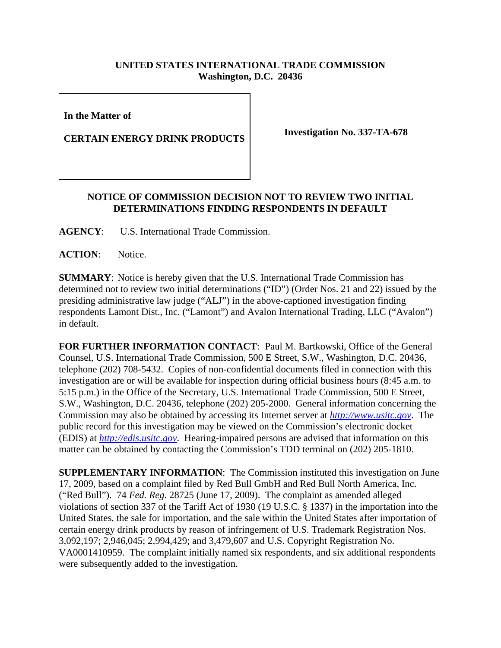## **UNITED STATES INTERNATIONAL TRADE COMMISSION Washington, D.C. 20436**

**In the Matter of** 

**CERTAIN ENERGY DRINK PRODUCTS** Investigation No. 337-TA-678

## **NOTICE OF COMMISSION DECISION NOT TO REVIEW TWO INITIAL DETERMINATIONS FINDING RESPONDENTS IN DEFAULT**

**AGENCY**: U.S. International Trade Commission.

ACTION: Notice.

**SUMMARY**: Notice is hereby given that the U.S. International Trade Commission has determined not to review two initial determinations ("ID") (Order Nos. 21 and 22) issued by the presiding administrative law judge ("ALJ") in the above-captioned investigation finding respondents Lamont Dist., Inc. ("Lamont") and Avalon International Trading, LLC ("Avalon") in default.

**FOR FURTHER INFORMATION CONTACT**: Paul M. Bartkowski, Office of the General Counsel, U.S. International Trade Commission, 500 E Street, S.W., Washington, D.C. 20436, telephone (202) 708-5432. Copies of non-confidential documents filed in connection with this investigation are or will be available for inspection during official business hours (8:45 a.m. to 5:15 p.m.) in the Office of the Secretary, U.S. International Trade Commission, 500 E Street, S.W., Washington, D.C. 20436, telephone (202) 205-2000. General information concerning the Commission may also be obtained by accessing its Internet server at *http://www.usitc.gov*. The public record for this investigation may be viewed on the Commission's electronic docket (EDIS) at *http://edis.usitc.gov*. Hearing-impaired persons are advised that information on this matter can be obtained by contacting the Commission's TDD terminal on (202) 205-1810.

**SUPPLEMENTARY INFORMATION**: The Commission instituted this investigation on June 17, 2009, based on a complaint filed by Red Bull GmbH and Red Bull North America, Inc. ("Red Bull"). 74 *Fed. Reg.* 28725 (June 17, 2009). The complaint as amended alleged violations of section 337 of the Tariff Act of 1930 (19 U.S.C. § 1337) in the importation into the United States, the sale for importation, and the sale within the United States after importation of certain energy drink products by reason of infringement of U.S. Trademark Registration Nos. 3,092,197; 2,946,045; 2,994,429; and 3,479,607 and U.S. Copyright Registration No. VA0001410959. The complaint initially named six respondents, and six additional respondents were subsequently added to the investigation.